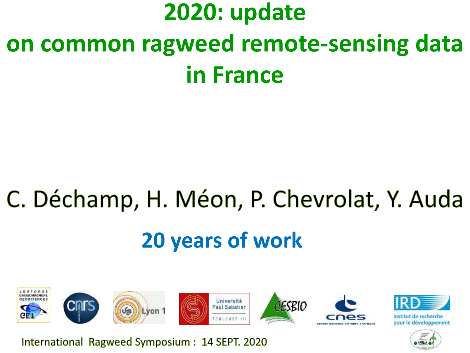## **2020: update on common ragweed remote-sensing data in France**

# C. Déchamp, H. Méon, P. Chevrolat, Y. Auda **20 years of work**



International Ragweed Symposium: 14 SEPT. 2020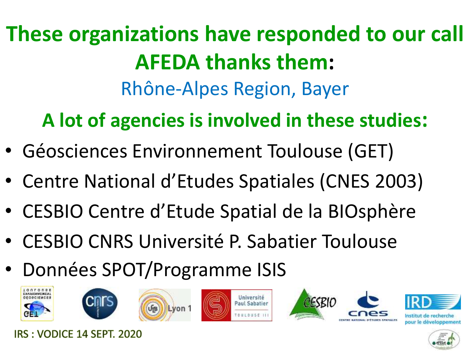**These organizations have responded to our call AFEDA thanks them:** Rhône-Alpes Region, Bayer

**A lot of agencies is involved in these studies:**

- Géosciences Environnement Toulouse (GET)
- Centre National d'Etudes Spatiales (CNES 2003)
- CESBIO Centre d'Etude Spatial de la BIOsphère
- CESBIO CNRS Université P. Sabatier Toulouse
- Données SPOT/Programme ISIS













oour le développement



IRS : VODICE 14 SEPT. 2020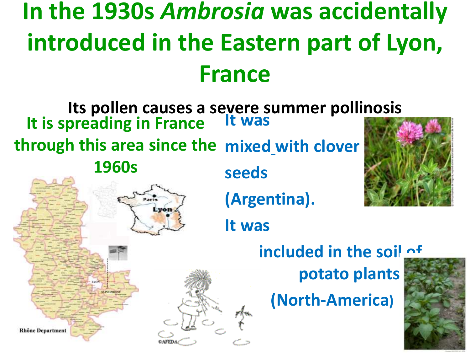## **In the 1930s** *Ambrosia* **was accidentally introduced in the Eastern part of Lyon, France**

**Its pollen causes a severe summer pollinosis It is spreading in France It was through this area since the mixed with clover 1960s seeds (Argentina).** von **It was included in the soil of potato plants (North-America)Rhône Department**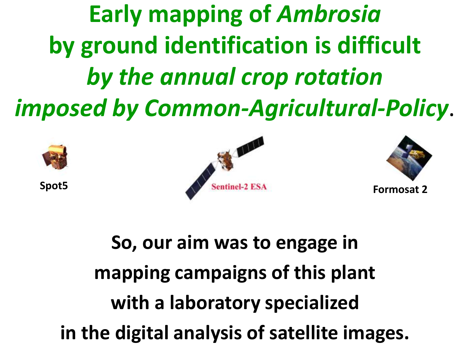**Early mapping of** *Ambrosia* **by ground identification is difficult**  *by the annual crop rotation imposed by Common-Agricultural-Policy*.







**So, our aim was to engage in mapping campaigns of this plant with a laboratory specialized in the digital analysis of satellite images.**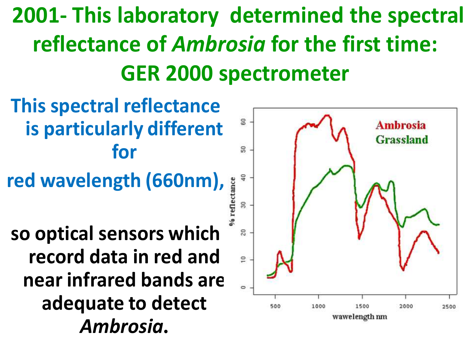## **2001- This laboratory determined the spectral reflectance of** *Ambrosia* **for the first time: GER 2000 spectrometer**

**This spectral reflectance is particularly different for** 

**red wavelength (660nm),** 

**so optical sensors which record data in red and near infrared bands are adequate to detect** *Ambrosia***.**

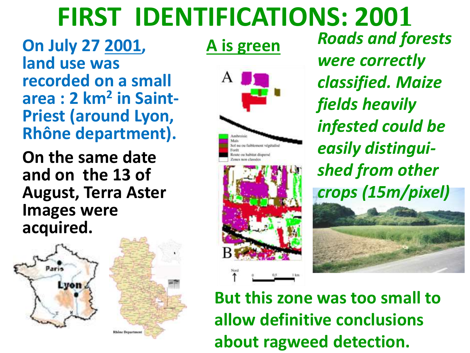## **FIRST IDENTIFICATIONS: 2001**

**On July 27 2001, land use was recorded on a small area : 2 km<sup>2</sup> in Saint-Priest (around Lyon, Rhône department).**

**On the same date and on the 13 of August, Terra Aster Images were acquired.**





*Roads and forests were correctly classified. Maize fields heavily infested could be easily distinguished from other crops (15m/pixel)*

**But this zone was too small to allow definitive conclusions about ragweed detection.**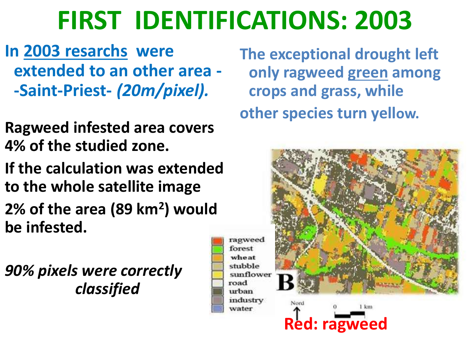## **FIRST IDENTIFICATIONS: 2003**

**In 2003 resarchs were extended to an other area - -Saint-Priest-** *(20m/pixel).*

**Ragweed infested area covers 4% of the studied zone.** 

**If the calculation was extended to the whole satellite image 2% of the area (89 km<sup>2</sup> ) would be infested.**

*90% pixels were correctly classified*

**The exceptional drought left only ragweed green among crops and grass, while other species turn yellow.**

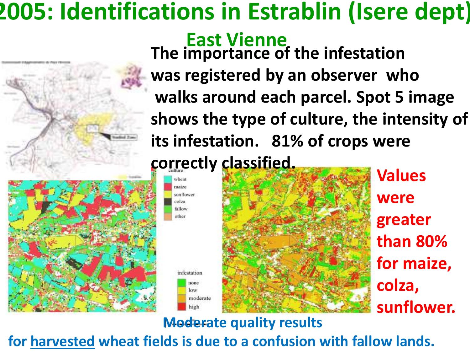#### **2005: Identifications in Estrablin (Isere dept). East Vienne The importance of the infestation was registered by an observer who walks around each parcel. Spot 5 image shows the type of culture, the intensity of**

**its infestation. 81% of crops were**

**correctly classified.**

maize sunflower colza fallow other

> nfestation попе low

> > high





**Values were greater than 80% for maize, colza, sunflower.**

**Moderate quality results**

**for harvested wheat fields is due to a confusion with fallow lands.**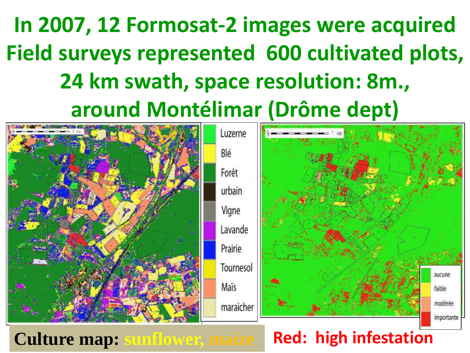## **In 2007, 12 Formosat-2 images were acquired Field surveys represented 600 cultivated plots, 24 km swath, space resolution: 8m., around Montélimar (Drôme dept)**

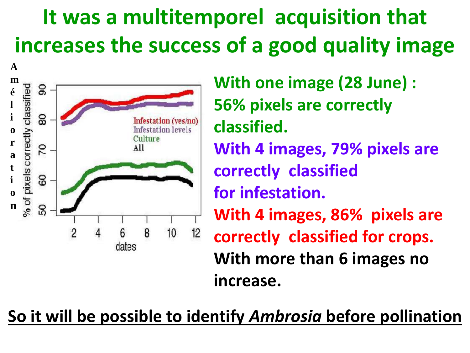### **It was a multitemporel acquisition that increases the success of a good quality image**



**With one image (28 June) : 56% pixels are correctly classified. With 4 images, 79% pixels are correctly classified for infestation. With 4 images, 86% pixels are correctly classified for crops. With more than 6 images no increase.**

**So it will be possible to identify** *Ambrosia* **before pollination**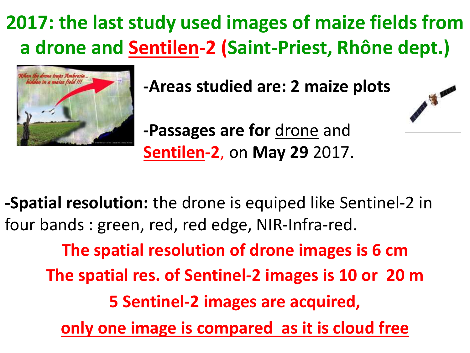#### **2017: the last study used images of maize fields from a drone and Sentilen-2 (Saint-Priest, Rhône dept.)**



**-Areas studied are: 2 maize plots**



**-Passages are for drone and Sentilen-2**, on **May 29** 2017.

**-Spatial resolution:** the drone is equiped like Sentinel-2 in four bands : green, red, red edge, NIR-Infra-red.

**The spatial resolution of drone images is 6 cm The spatial res. of Sentinel-2 images is 10 or 20 m 5 Sentinel-2 images are acquired, only one image is compared as it is cloud free**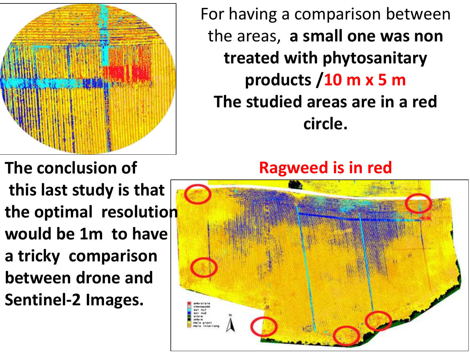

For having a comparison between the areas, **a small one was non treated with phytosanitary products /10 m x 5 m The studied areas are in a red circle.**

**The conclusion of Ragweed is in red**

**this last study is that the optimal resolution would be 1m to have a tricky comparison between drone and Sentinel-2 Images.**

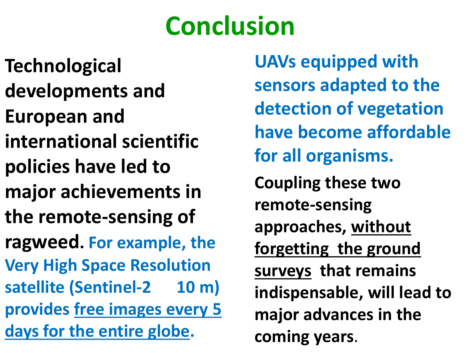# **Conclusion**

**Technological developments and European and international scientific policies have led to major achievements in the remote-sensing of ragweed. For example, the Very High Space Resolution**  satellite (Sentinel-2 10 m) **provides free images every 5 days for the entire globe.** 

**UAVs equipped with sensors adapted to the detection of vegetation have become affordable for all organisms. Coupling these two remote-sensing approaches, without forgetting the ground surveys that remains indispensable, will lead to major advances in the coming years**.